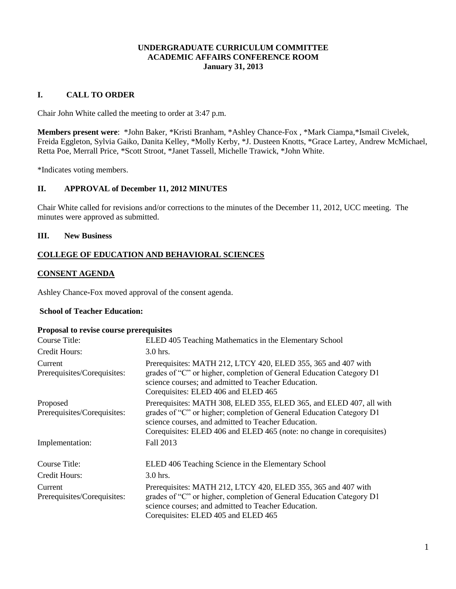### **UNDERGRADUATE CURRICULUM COMMITTEE ACADEMIC AFFAIRS CONFERENCE ROOM January 31, 2013**

## **I. CALL TO ORDER**

Chair John White called the meeting to order at 3:47 p.m.

**Members present were**: \*John Baker, \*Kristi Branham, \*Ashley Chance-Fox , \*Mark Ciampa,\*Ismail Civelek, Freida Eggleton, Sylvia Gaiko, Danita Kelley, \*Molly Kerby, \*J. Dusteen Knotts, \*Grace Lartey, Andrew McMichael, Retta Poe, Merrall Price, \*Scott Stroot, \*Janet Tassell, Michelle Trawick, \*John White.

\*Indicates voting members.

## **II. APPROVAL of December 11, 2012 MINUTES**

Chair White called for revisions and/or corrections to the minutes of the December 11, 2012, UCC meeting. The minutes were approved as submitted.

#### **III. New Business**

## **COLLEGE OF EDUCATION AND BEHAVIORAL SCIENCES**

#### **CONSENT AGENDA**

Ashley Chance**-**Fox moved approval of the consent agenda.

## **School of Teacher Education:**

#### **Proposal to revise course prerequisites**

| Course Title:                           | ELED 405 Teaching Mathematics in the Elementary School                                                                                                                                                                                                                      |
|-----------------------------------------|-----------------------------------------------------------------------------------------------------------------------------------------------------------------------------------------------------------------------------------------------------------------------------|
| Credit Hours:                           | $3.0$ hrs.                                                                                                                                                                                                                                                                  |
| Current<br>Prerequisites/Corequisites:  | Prerequisites: MATH 212, LTCY 420, ELED 355, 365 and 407 with<br>grades of "C" or higher, completion of General Education Category D1<br>science courses; and admitted to Teacher Education.<br>Corequisites: ELED 406 and ELED 465                                         |
| Proposed<br>Prerequisites/Corequisites: | Prerequisites: MATH 308, ELED 355, ELED 365, and ELED 407, all with<br>grades of "C" or higher; completion of General Education Category D1<br>science courses, and admitted to Teacher Education.<br>Corequisites: ELED 406 and ELED 465 (note: no change in corequisites) |
| Implementation:                         | Fall 2013                                                                                                                                                                                                                                                                   |
| Course Title:                           | ELED 406 Teaching Science in the Elementary School                                                                                                                                                                                                                          |
| Credit Hours:                           | $3.0$ hrs.                                                                                                                                                                                                                                                                  |
| Current<br>Prerequisites/Corequisites:  | Prerequisites: MATH 212, LTCY 420, ELED 355, 365 and 407 with<br>grades of "C" or higher, completion of General Education Category D1<br>science courses; and admitted to Teacher Education.<br>Corequisites: ELED 405 and ELED 465                                         |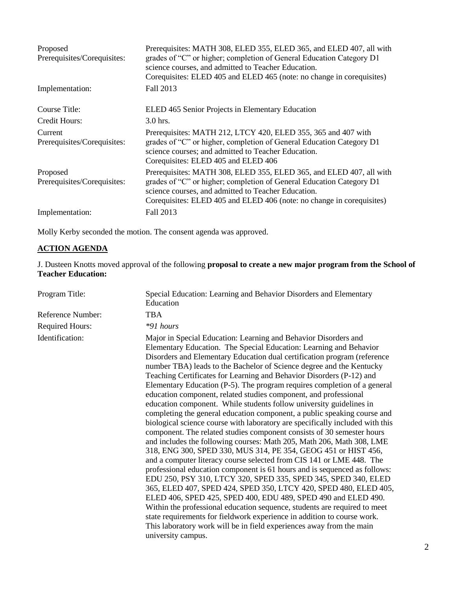| Proposed<br>Prerequisites/Corequisites: | Prerequisites: MATH 308, ELED 355, ELED 365, and ELED 407, all with<br>grades of "C" or higher; completion of General Education Category D1<br>science courses, and admitted to Teacher Education.<br>Corequisites: ELED 405 and ELED 465 (note: no change in corequisites) |
|-----------------------------------------|-----------------------------------------------------------------------------------------------------------------------------------------------------------------------------------------------------------------------------------------------------------------------------|
| Implementation:                         | Fall 2013                                                                                                                                                                                                                                                                   |
| Course Title:                           | ELED 465 Senior Projects in Elementary Education                                                                                                                                                                                                                            |
| Credit Hours:                           | $3.0$ hrs.                                                                                                                                                                                                                                                                  |
| Current<br>Prerequisites/Corequisites:  | Prerequisites: MATH 212, LTCY 420, ELED 355, 365 and 407 with<br>grades of "C" or higher, completion of General Education Category D1<br>science courses; and admitted to Teacher Education.<br>Corequisites: ELED 405 and ELED 406                                         |
| Proposed<br>Prerequisites/Corequisites: | Prerequisites: MATH 308, ELED 355, ELED 365, and ELED 407, all with<br>grades of "C" or higher; completion of General Education Category D1<br>science courses, and admitted to Teacher Education.<br>Corequisites: ELED 405 and ELED 406 (note: no change in corequisites) |
| Implementation:                         | Fall 2013                                                                                                                                                                                                                                                                   |

Molly Kerby seconded the motion. The consent agenda was approved.

# **ACTION AGENDA**

J. Dusteen Knotts moved approval of the following **proposal to create a new major program from the School of Teacher Education:**

| Education                                                                                                                                                                                                                                                                                                                                                                                                                                                                                                                                                                                                                                                                                                                                                                                                                                                                                                                                                                                                                                                                                                                                                                                                                                                                                                                                                                                                                                                                                                                                                                                    |
|----------------------------------------------------------------------------------------------------------------------------------------------------------------------------------------------------------------------------------------------------------------------------------------------------------------------------------------------------------------------------------------------------------------------------------------------------------------------------------------------------------------------------------------------------------------------------------------------------------------------------------------------------------------------------------------------------------------------------------------------------------------------------------------------------------------------------------------------------------------------------------------------------------------------------------------------------------------------------------------------------------------------------------------------------------------------------------------------------------------------------------------------------------------------------------------------------------------------------------------------------------------------------------------------------------------------------------------------------------------------------------------------------------------------------------------------------------------------------------------------------------------------------------------------------------------------------------------------|
| <b>TBA</b>                                                                                                                                                                                                                                                                                                                                                                                                                                                                                                                                                                                                                                                                                                                                                                                                                                                                                                                                                                                                                                                                                                                                                                                                                                                                                                                                                                                                                                                                                                                                                                                   |
| $*91$ hours                                                                                                                                                                                                                                                                                                                                                                                                                                                                                                                                                                                                                                                                                                                                                                                                                                                                                                                                                                                                                                                                                                                                                                                                                                                                                                                                                                                                                                                                                                                                                                                  |
| Major in Special Education: Learning and Behavior Disorders and<br>Elementary Education. The Special Education: Learning and Behavior<br>Disorders and Elementary Education dual certification program (reference<br>number TBA) leads to the Bachelor of Science degree and the Kentucky<br>Teaching Certificates for Learning and Behavior Disorders (P-12) and<br>Elementary Education (P-5). The program requires completion of a general<br>education component, related studies component, and professional<br>education component. While students follow university guidelines in<br>completing the general education component, a public speaking course and<br>biological science course with laboratory are specifically included with this<br>component. The related studies component consists of 30 semester hours<br>and includes the following courses: Math 205, Math 206, Math 308, LME<br>318, ENG 300, SPED 330, MUS 314, PE 354, GEOG 451 or HIST 456,<br>and a computer literacy course selected from CIS 141 or LME 448. The<br>professional education component is 61 hours and is sequenced as follows:<br>EDU 250, PSY 310, LTCY 320, SPED 335, SPED 345, SPED 340, ELED<br>365, ELED 407, SPED 424, SPED 350, LTCY 420, SPED 480, ELED 405,<br>ELED 406, SPED 425, SPED 400, EDU 489, SPED 490 and ELED 490.<br>Within the professional education sequence, students are required to meet<br>state requirements for fieldwork experience in addition to course work.<br>This laboratory work will be in field experiences away from the main<br>university campus. |
|                                                                                                                                                                                                                                                                                                                                                                                                                                                                                                                                                                                                                                                                                                                                                                                                                                                                                                                                                                                                                                                                                                                                                                                                                                                                                                                                                                                                                                                                                                                                                                                              |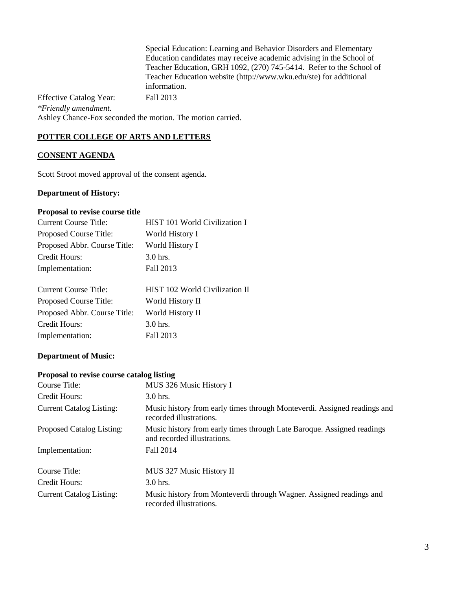Special Education: Learning and Behavior Disorders and Elementary Education candidates may receive academic advising in the School of Teacher Education, GRH 1092, (270) 745-5414. Refer to the School of Teacher Education website (http://www.wku.edu/ste) for additional information.

Effective Catalog Year: Fall 2013 *\*Friendly amendment.* Ashley Chance-Fox seconded the motion. The motion carried.

## **POTTER COLLEGE OF ARTS AND LETTERS**

## **CONSENT AGENDA**

Scott Stroot moved approval of the consent agenda.

## **Department of History:**

#### **Proposal to revise course title**

| <b>Current Course Title:</b> | HIST 101 World Civilization I |
|------------------------------|-------------------------------|
| Proposed Course Title:       | World History I               |
| Proposed Abbr. Course Title: | World History I               |
| Credit Hours:                | $3.0$ hrs.                    |
| Implementation:              | Fall 2013                     |
|                              |                               |

| <b>Current Course Title:</b> | HIST 102 World Civilization II |
|------------------------------|--------------------------------|
| Proposed Course Title:       | World History II               |
| Proposed Abbr. Course Title: | World History II               |
| Credit Hours:                | $3.0$ hrs.                     |
| Implementation:              | Fall 2013                      |

## **Department of Music:**

#### **Proposal to revise course catalog listing**

| Course Title:                   | MUS 326 Music History I                                                                               |
|---------------------------------|-------------------------------------------------------------------------------------------------------|
| Credit Hours:                   | $3.0$ hrs.                                                                                            |
| <b>Current Catalog Listing:</b> | Music history from early times through Monteverdi. Assigned readings and<br>recorded illustrations.   |
| Proposed Catalog Listing:       | Music history from early times through Late Baroque. Assigned readings<br>and recorded illustrations. |
| Implementation:                 | Fall 2014                                                                                             |
| Course Title:                   | MUS 327 Music History II                                                                              |
| Credit Hours:                   | $3.0$ hrs.                                                                                            |
| <b>Current Catalog Listing:</b> | Music history from Monteverdi through Wagner. Assigned readings and<br>recorded illustrations.        |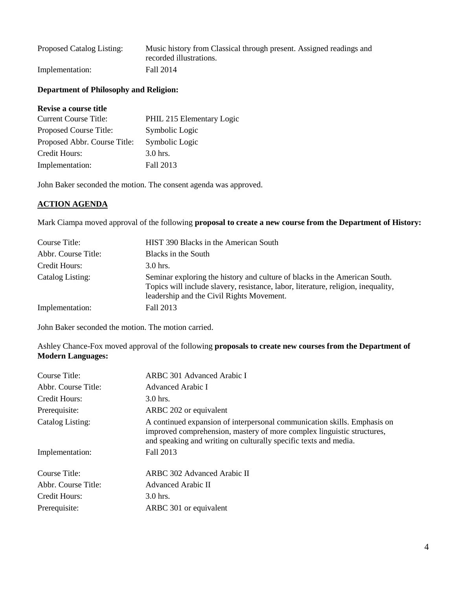| Proposed Catalog Listing: | Music history from Classical through present. Assigned readings and |
|---------------------------|---------------------------------------------------------------------|
|                           | recorded illustrations.                                             |
| Implementation:           | Fall 2014                                                           |

#### **Department of Philosophy and Religion:**

#### **Revise a course title**

| <b>Current Course Title:</b> | PHIL 215 Elementary Logic |
|------------------------------|---------------------------|
| Proposed Course Title:       | Symbolic Logic            |
| Proposed Abbr. Course Title: | Symbolic Logic            |
| Credit Hours:                | $3.0$ hrs.                |
| Implementation:              | Fall 2013                 |

John Baker seconded the motion. The consent agenda was approved.

## **ACTION AGENDA**

Mark Ciampa moved approval of the following **proposal to create a new course from the Department of History:**

| Course Title:       | HIST 390 Blacks in the American South                                                                                                                                                                        |
|---------------------|--------------------------------------------------------------------------------------------------------------------------------------------------------------------------------------------------------------|
| Abbr. Course Title: | Blacks in the South                                                                                                                                                                                          |
| Credit Hours:       | $3.0$ hrs.                                                                                                                                                                                                   |
| Catalog Listing:    | Seminar exploring the history and culture of blacks in the American South.<br>Topics will include slavery, resistance, labor, literature, religion, inequality,<br>leadership and the Civil Rights Movement. |
| Implementation:     | Fall 2013                                                                                                                                                                                                    |

John Baker seconded the motion. The motion carried.

Ashley Chance-Fox moved approval of the following **proposals to create new courses from the Department of Modern Languages:**

| Course Title:       | ARBC 301 Advanced Arabic I                                                                                                                                                                                             |
|---------------------|------------------------------------------------------------------------------------------------------------------------------------------------------------------------------------------------------------------------|
| Abbr. Course Title: | Advanced Arabic I                                                                                                                                                                                                      |
| Credit Hours:       | $3.0$ hrs.                                                                                                                                                                                                             |
| Prerequisite:       | ARBC 202 or equivalent                                                                                                                                                                                                 |
| Catalog Listing:    | A continued expansion of interpersonal communication skills. Emphasis on<br>improved comprehension, mastery of more complex linguistic structures,<br>and speaking and writing on culturally specific texts and media. |
| Implementation:     | Fall 2013                                                                                                                                                                                                              |
| Course Title:       | ARBC 302 Advanced Arabic II                                                                                                                                                                                            |
| Abbr. Course Title: | Advanced Arabic II                                                                                                                                                                                                     |
| Credit Hours:       | $3.0$ hrs.                                                                                                                                                                                                             |
| Prerequisite:       | ARBC 301 or equivalent                                                                                                                                                                                                 |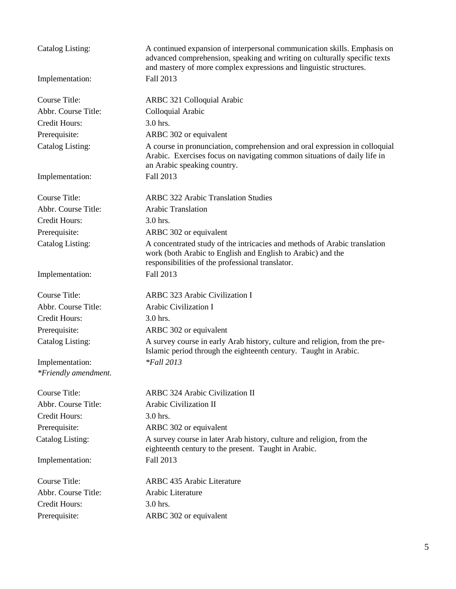| Catalog Listing:        | A continued expansion of interpersonal communication skills. Emphasis on<br>advanced comprehension, speaking and writing on culturally specific texts<br>and mastery of more complex expressions and linguistic structures. |
|-------------------------|-----------------------------------------------------------------------------------------------------------------------------------------------------------------------------------------------------------------------------|
| Implementation:         | Fall 2013                                                                                                                                                                                                                   |
| Course Title:           | ARBC 321 Colloquial Arabic                                                                                                                                                                                                  |
| Abbr. Course Title:     | Colloquial Arabic                                                                                                                                                                                                           |
| Credit Hours:           | 3.0 hrs.                                                                                                                                                                                                                    |
| Prerequisite:           | ARBC 302 or equivalent                                                                                                                                                                                                      |
| Catalog Listing:        | A course in pronunciation, comprehension and oral expression in colloquial<br>Arabic. Exercises focus on navigating common situations of daily life in<br>an Arabic speaking country.                                       |
| Implementation:         | Fall 2013                                                                                                                                                                                                                   |
| <b>Course Title:</b>    | <b>ARBC 322 Arabic Translation Studies</b>                                                                                                                                                                                  |
| Abbr. Course Title:     | <b>Arabic Translation</b>                                                                                                                                                                                                   |
| Credit Hours:           | 3.0 hrs.                                                                                                                                                                                                                    |
| Prerequisite:           | ARBC 302 or equivalent                                                                                                                                                                                                      |
| Catalog Listing:        | A concentrated study of the intricacies and methods of Arabic translation<br>work (both Arabic to English and English to Arabic) and the<br>responsibilities of the professional translator.                                |
| Implementation:         | Fall 2013                                                                                                                                                                                                                   |
| Course Title:           | <b>ARBC 323 Arabic Civilization I</b>                                                                                                                                                                                       |
| Abbr. Course Title:     | Arabic Civilization I                                                                                                                                                                                                       |
| Credit Hours:           | 3.0 hrs.                                                                                                                                                                                                                    |
| Prerequisite:           | ARBC 302 or equivalent                                                                                                                                                                                                      |
| Catalog Listing:        | A survey course in early Arab history, culture and religion, from the pre-<br>Islamic period through the eighteenth century. Taught in Arabic.                                                                              |
| Implementation:         | $*$ Fall 2013                                                                                                                                                                                                               |
| *Friendly amendment.    |                                                                                                                                                                                                                             |
| Course Title:           | <b>ARBC 324 Arabic Civilization II</b>                                                                                                                                                                                      |
| Abbr. Course Title:     | Arabic Civilization II                                                                                                                                                                                                      |
| <b>Credit Hours:</b>    | 3.0 hrs.                                                                                                                                                                                                                    |
| Prerequisite:           | ARBC 302 or equivalent                                                                                                                                                                                                      |
| <b>Catalog Listing:</b> | A survey course in later Arab history, culture and religion, from the<br>eighteenth century to the present. Taught in Arabic.                                                                                               |
| Implementation:         | Fall 2013                                                                                                                                                                                                                   |
| Course Title:           | ARBC 435 Arabic Literature                                                                                                                                                                                                  |
| Abbr. Course Title:     | Arabic Literature                                                                                                                                                                                                           |
| <b>Credit Hours:</b>    | 3.0 hrs.                                                                                                                                                                                                                    |
| Prerequisite:           | ARBC 302 or equivalent                                                                                                                                                                                                      |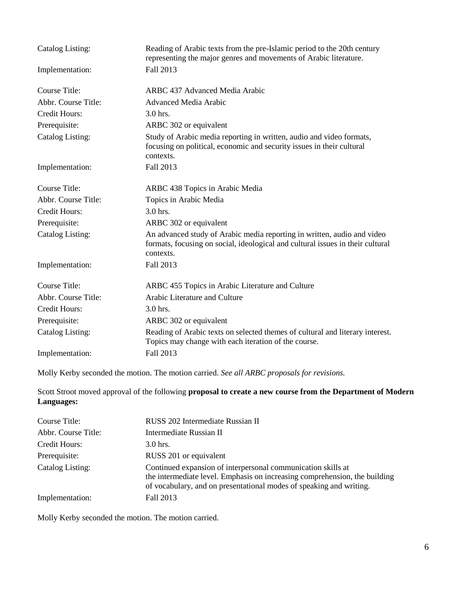| Catalog Listing:        | Reading of Arabic texts from the pre-Islamic period to the 20th century<br>representing the major genres and movements of Arabic literature.                           |
|-------------------------|------------------------------------------------------------------------------------------------------------------------------------------------------------------------|
| Implementation:         | Fall 2013                                                                                                                                                              |
| Course Title:           | ARBC 437 Advanced Media Arabic                                                                                                                                         |
| Abbr. Course Title:     | <b>Advanced Media Arabic</b>                                                                                                                                           |
| <b>Credit Hours:</b>    | 3.0 hrs.                                                                                                                                                               |
| Prerequisite:           | ARBC 302 or equivalent                                                                                                                                                 |
| <b>Catalog Listing:</b> | Study of Arabic media reporting in written, audio and video formats,<br>focusing on political, economic and security issues in their cultural<br>contexts.             |
| Implementation:         | Fall 2013                                                                                                                                                              |
| <b>Course Title:</b>    | ARBC 438 Topics in Arabic Media                                                                                                                                        |
| Abbr. Course Title:     | Topics in Arabic Media                                                                                                                                                 |
| <b>Credit Hours:</b>    | 3.0 hrs.                                                                                                                                                               |
| Prerequisite:           | ARBC 302 or equivalent                                                                                                                                                 |
| Catalog Listing:        | An advanced study of Arabic media reporting in written, audio and video<br>formats, focusing on social, ideological and cultural issues in their cultural<br>contexts. |
| Implementation:         | Fall 2013                                                                                                                                                              |
| <b>Course Title:</b>    | ARBC 455 Topics in Arabic Literature and Culture                                                                                                                       |
| Abbr. Course Title:     | Arabic Literature and Culture                                                                                                                                          |
| <b>Credit Hours:</b>    | 3.0 hrs.                                                                                                                                                               |
| Prerequisite:           | ARBC 302 or equivalent                                                                                                                                                 |
| Catalog Listing:        | Reading of Arabic texts on selected themes of cultural and literary interest.<br>Topics may change with each iteration of the course.                                  |
| Implementation:         | Fall 2013                                                                                                                                                              |

Molly Kerby seconded the motion. The motion carried. *See all ARBC proposals for revisions.*

Scott Stroot moved approval of the following **proposal to create a new course from the Department of Modern Languages:**

| Course Title:       | RUSS 202 Intermediate Russian II                                                                                                                                                                                  |  |
|---------------------|-------------------------------------------------------------------------------------------------------------------------------------------------------------------------------------------------------------------|--|
| Abbr. Course Title: | Intermediate Russian II                                                                                                                                                                                           |  |
| Credit Hours:       | 3.0 hrs.                                                                                                                                                                                                          |  |
| Prerequisite:       | RUSS 201 or equivalent                                                                                                                                                                                            |  |
| Catalog Listing:    | Continued expansion of interpersonal communication skills at<br>the intermediate level. Emphasis on increasing comprehension, the building<br>of vocabulary, and on presentational modes of speaking and writing. |  |
| Implementation:     | Fall 2013                                                                                                                                                                                                         |  |

Molly Kerby seconded the motion. The motion carried.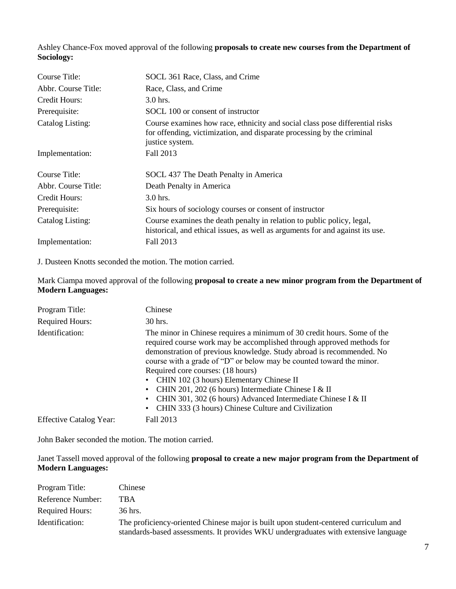Ashley Chance-Fox moved approval of the following **proposals to create new courses from the Department of Sociology:**

| Course Title:           | SOCL 361 Race, Class, and Crime                                                                                                                                           |  |
|-------------------------|---------------------------------------------------------------------------------------------------------------------------------------------------------------------------|--|
| Abbr. Course Title:     | Race, Class, and Crime                                                                                                                                                    |  |
| Credit Hours:           | $3.0$ hrs.                                                                                                                                                                |  |
| Prerequisite:           | SOCL 100 or consent of instructor                                                                                                                                         |  |
| <b>Catalog Listing:</b> | Course examines how race, ethnicity and social class pose differential risks<br>for offending, victimization, and disparate processing by the criminal<br>justice system. |  |
| Implementation:         | Fall 2013                                                                                                                                                                 |  |
| Course Title:           | SOCL 437 The Death Penalty in America                                                                                                                                     |  |
| Abbr. Course Title:     | Death Penalty in America                                                                                                                                                  |  |
| Credit Hours:           | $3.0$ hrs.                                                                                                                                                                |  |
| Prerequisite:           | Six hours of sociology courses or consent of instructor                                                                                                                   |  |
| Catalog Listing:        | Course examines the death penalty in relation to public policy, legal,<br>historical, and ethical issues, as well as arguments for and against its use.                   |  |
| Implementation:         | Fall 2013                                                                                                                                                                 |  |

J. Dusteen Knotts seconded the motion. The motion carried.

Mark Ciampa moved approval of the following **proposal to create a new minor program from the Department of Modern Languages:**

| Program Title:                 | Chinese                                                                                                                                                                                                                                                                                                                                                                                                                                                                                                                                                           |
|--------------------------------|-------------------------------------------------------------------------------------------------------------------------------------------------------------------------------------------------------------------------------------------------------------------------------------------------------------------------------------------------------------------------------------------------------------------------------------------------------------------------------------------------------------------------------------------------------------------|
| <b>Required Hours:</b>         | 30 hrs.                                                                                                                                                                                                                                                                                                                                                                                                                                                                                                                                                           |
| Identification:                | The minor in Chinese requires a minimum of 30 credit hours. Some of the<br>required course work may be accomplished through approved methods for<br>demonstration of previous knowledge. Study abroad is recommended. No<br>course with a grade of "D" or below may be counted toward the minor.<br>Required core courses: (18 hours)<br>CHIN 102 (3 hours) Elementary Chinese II<br>CHIN 201, 202 (6 hours) Intermediate Chinese I & II<br>CHIN 301, 302 (6 hours) Advanced Intermediate Chinese I & II<br>• CHIN 333 (3 hours) Chinese Culture and Civilization |
| <b>Effective Catalog Year:</b> | Fall 2013                                                                                                                                                                                                                                                                                                                                                                                                                                                                                                                                                         |

John Baker seconded the motion. The motion carried.

Janet Tassell moved approval of the following **proposal to create a new major program from the Department of Modern Languages:**

| Program Title:         | Chinese                                                                                                                                                                     |
|------------------------|-----------------------------------------------------------------------------------------------------------------------------------------------------------------------------|
| Reference Number:      | TBA                                                                                                                                                                         |
| <b>Required Hours:</b> | 36 hrs.                                                                                                                                                                     |
| Identification:        | The proficiency-oriented Chinese major is built upon student-centered curriculum and<br>standards-based assessments. It provides WKU undergraduates with extensive language |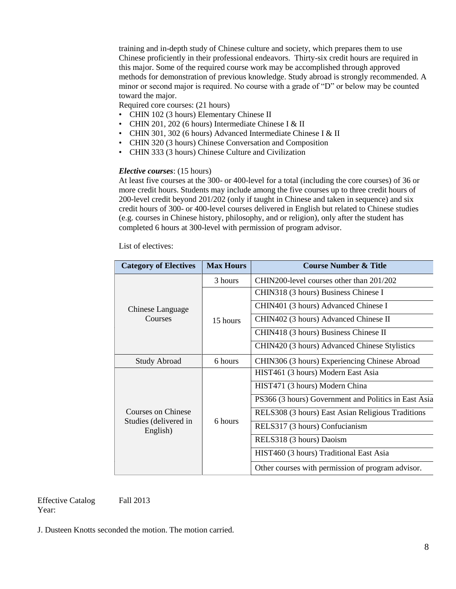training and in-depth study of Chinese culture and society, which prepares them to use Chinese proficiently in their professional endeavors. Thirty-six credit hours are required in this major. Some of the required course work may be accomplished through approved methods for demonstration of previous knowledge. Study abroad is strongly recommended. A minor or second major is required. No course with a grade of "D" or below may be counted toward the major.

Required core courses: (21 hours)

- CHIN 102 (3 hours) Elementary Chinese II
- CHIN 201, 202 (6 hours) Intermediate Chinese I & II
- CHIN 301, 302 (6 hours) Advanced Intermediate Chinese I & II
- CHIN 320 (3 hours) Chinese Conversation and Composition
- CHIN 333 (3 hours) Chinese Culture and Civilization

#### *Elective courses*: (15 hours)

At least five courses at the 300- or 400-level for a total (including the core courses) of 36 or more credit hours. Students may include among the five courses up to three credit hours of 200-level credit beyond 201/202 (only if taught in Chinese and taken in sequence) and six credit hours of 300- or 400-level courses delivered in English but related to Chinese studies (e.g. courses in Chinese history, philosophy, and or religion), only after the student has completed 6 hours at 300-level with permission of program advisor.

List of electives:

| <b>Category of Electives</b>                            | <b>Max Hours</b> | <b>Course Number &amp; Title</b>                     |
|---------------------------------------------------------|------------------|------------------------------------------------------|
| Chinese Language<br>Courses                             | 3 hours          | CHIN200-level courses other than 201/202             |
|                                                         | 15 hours         | CHIN318 (3 hours) Business Chinese I                 |
|                                                         |                  | CHIN401 (3 hours) Advanced Chinese I                 |
|                                                         |                  | CHIN402 (3 hours) Advanced Chinese II                |
|                                                         |                  | CHIN418 (3 hours) Business Chinese II                |
|                                                         |                  | CHIN420 (3 hours) Advanced Chinese Stylistics        |
| <b>Study Abroad</b>                                     | 6 hours          | CHIN306 (3 hours) Experiencing Chinese Abroad        |
| Courses on Chinese<br>Studies (delivered in<br>English) | 6 hours          | HIST461 (3 hours) Modern East Asia                   |
|                                                         |                  | HIST471 (3 hours) Modern China                       |
|                                                         |                  | PS366 (3 hours) Government and Politics in East Asia |
|                                                         |                  | RELS308 (3 hours) East Asian Religious Traditions    |
|                                                         |                  | RELS317 (3 hours) Confucianism                       |
|                                                         |                  | RELS318 (3 hours) Daoism                             |
|                                                         |                  | HIST460 (3 hours) Traditional East Asia              |
|                                                         |                  | Other courses with permission of program advisor.    |

Effective Catalog Year:

Fall 2013

J. Dusteen Knotts seconded the motion. The motion carried.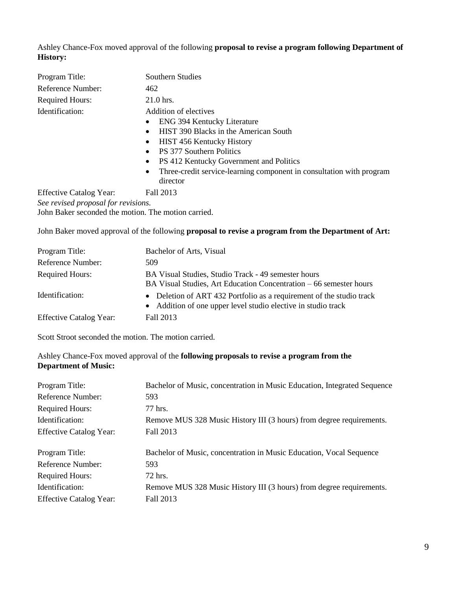Ashley Chance-Fox moved approval of the following **proposal to revise a program following Department of History:**

| Program Title:                                      | Southern Studies                                                                                           |  |
|-----------------------------------------------------|------------------------------------------------------------------------------------------------------------|--|
| Reference Number:                                   | 462                                                                                                        |  |
| <b>Required Hours:</b>                              | $21.0$ hrs.                                                                                                |  |
| Identification:                                     | Addition of electives                                                                                      |  |
|                                                     | <b>ENG 394 Kentucky Literature</b><br>$\bullet$                                                            |  |
|                                                     | HIST 390 Blacks in the American South<br>$\bullet$                                                         |  |
|                                                     | <b>HIST 456 Kentucky History</b><br>$\bullet$                                                              |  |
|                                                     | <b>PS</b> 377 Southern Politics<br>$\bullet$                                                               |  |
|                                                     | PS 412 Kentucky Government and Politics<br>$\bullet$                                                       |  |
|                                                     | Three-credit service-learning component in consultation with program<br>٠                                  |  |
|                                                     | director                                                                                                   |  |
| <b>Effective Catalog Year:</b>                      | Fall 2013                                                                                                  |  |
| See revised proposal for revisions.                 |                                                                                                            |  |
| John Baker seconded the motion. The motion carried. |                                                                                                            |  |
|                                                     | John Baker moved approval of the following <b>proposal to revise a program from the Department of Art:</b> |  |

| Program Title:                 | Bachelor of Arts, Visual                                                                                                              |
|--------------------------------|---------------------------------------------------------------------------------------------------------------------------------------|
| Reference Number:              | 509                                                                                                                                   |
| <b>Required Hours:</b>         | BA Visual Studies, Studio Track - 49 semester hours<br>BA Visual Studies, Art Education Concentration – 66 semester hours             |
| Identification:                | • Deletion of ART 432 Portfolio as a requirement of the studio track<br>• Addition of one upper level studio elective in studio track |
| <b>Effective Catalog Year:</b> | Fall 2013                                                                                                                             |

Scott Stroot seconded the motion. The motion carried.

Ashley Chance-Fox moved approval of the **following proposals to revise a program from the Department of Music:**

| Program Title:                 | Bachelor of Music, concentration in Music Education, Integrated Sequence |
|--------------------------------|--------------------------------------------------------------------------|
| Reference Number:              | 593                                                                      |
| <b>Required Hours:</b>         | 77 hrs.                                                                  |
| Identification:                | Remove MUS 328 Music History III (3 hours) from degree requirements.     |
| <b>Effective Catalog Year:</b> | Fall 2013                                                                |
| Program Title:                 | Bachelor of Music, concentration in Music Education, Vocal Sequence      |
| Reference Number:              | 593                                                                      |
| <b>Required Hours:</b>         | 72 hrs.                                                                  |
| Identification:                | Remove MUS 328 Music History III (3 hours) from degree requirements.     |
| <b>Effective Catalog Year:</b> | Fall 2013                                                                |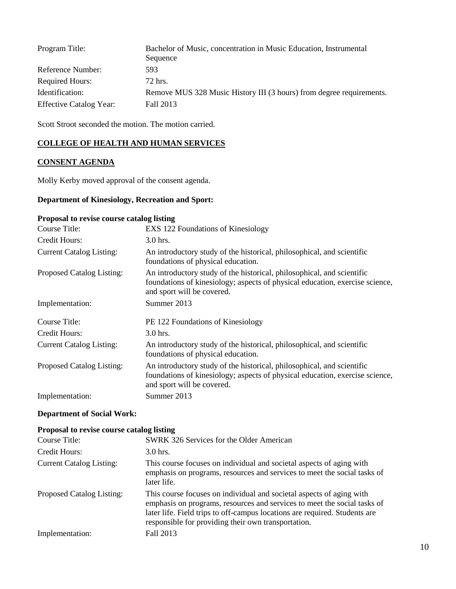| Program Title:                 | Bachelor of Music, concentration in Music Education, Instrumental<br>Sequence |
|--------------------------------|-------------------------------------------------------------------------------|
| Reference Number:              | 593                                                                           |
| Required Hours:                | 72 hrs.                                                                       |
| Identification:                | Remove MUS 328 Music History III (3 hours) from degree requirements.          |
| <b>Effective Catalog Year:</b> | Fall 2013                                                                     |

Scott Stroot seconded the motion. The motion carried.

## **COLLEGE OF HEALTH AND HUMAN SERVICES**

#### **CONSENT AGENDA**

Molly Kerby moved approval of the consent agenda.

#### **Department of Kinesiology, Recreation and Sport:**

# **Proposal to revise course catalog listing** Course Title: EXS 122 Foundations of Kinesiology Credit Hours: 3.0 hrs. Current Catalog Listing: An introductory study of the historical, philosophical, and scientific foundations of physical education. Proposed Catalog Listing: An introductory study of the historical, philosophical, and scientific foundations of kinesiology; aspects of physical education, exercise science, and sport will be covered. Implementation: Summer 2013 Course Title: PE 122 Foundations of Kinesiology Credit Hours: 3.0 hrs. Current Catalog Listing: An introductory study of the historical, philosophical, and scientific foundations of physical education. Proposed Catalog Listing: An introductory study of the historical, philosophical, and scientific foundations of kinesiology; aspects of physical education, exercise science, and sport will be covered. Implementation: Summer 2013

#### **Department of Social Work:**

#### **Proposal to revise course catalog listing**

| Course Title:                   | SWRK 326 Services for the Older American                                                                                                                                                                                                                                              |
|---------------------------------|---------------------------------------------------------------------------------------------------------------------------------------------------------------------------------------------------------------------------------------------------------------------------------------|
| Credit Hours:                   | $3.0$ hrs.                                                                                                                                                                                                                                                                            |
| <b>Current Catalog Listing:</b> | This course focuses on individual and societal aspects of aging with<br>emphasis on programs, resources and services to meet the social tasks of<br>later life.                                                                                                                       |
| Proposed Catalog Listing:       | This course focuses on individual and societal aspects of aging with<br>emphasis on programs, resources and services to meet the social tasks of<br>later life. Field trips to off-campus locations are required. Students are<br>responsible for providing their own transportation. |
| Implementation:                 | Fall 2013                                                                                                                                                                                                                                                                             |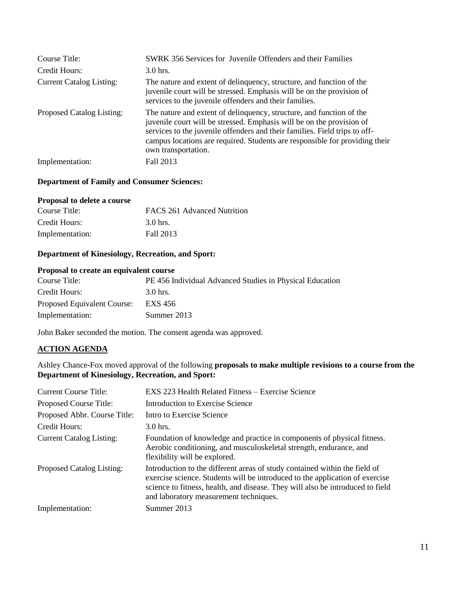| Course Title:<br>Credit Hours:  | <b>SWRK</b> 356 Services for Juvenile Offenders and their Families<br>$3.0$ hrs.                                                                                                                                                                                                                                                  |
|---------------------------------|-----------------------------------------------------------------------------------------------------------------------------------------------------------------------------------------------------------------------------------------------------------------------------------------------------------------------------------|
| <b>Current Catalog Listing:</b> | The nature and extent of delinquency, structure, and function of the<br>juvenile court will be stressed. Emphasis will be on the provision of<br>services to the juvenile offenders and their families.                                                                                                                           |
| Proposed Catalog Listing:       | The nature and extent of delinquency, structure, and function of the<br>juvenile court will be stressed. Emphasis will be on the provision of<br>services to the juvenile offenders and their families. Field trips to off-<br>campus locations are required. Students are responsible for providing their<br>own transportation. |
| Implementation:                 | Fall 2013                                                                                                                                                                                                                                                                                                                         |

# **Department of Family and Consumer Sciences:**

#### **Proposal to delete a course**

| Course Title:   | FACS 261 Advanced Nutrition |
|-----------------|-----------------------------|
| Credit Hours:   | 3.0 hrs.                    |
| Implementation: | Fall 2013                   |

## **Department of Kinesiology, Recreation, and Sport:**

## **Proposal to create an equivalent course**

| Course Title:               | PE 456 Individual Advanced Studies in Physical Education |
|-----------------------------|----------------------------------------------------------|
| Credit Hours:               | $3.0$ hrs.                                               |
| Proposed Equivalent Course: | EXS 456                                                  |
| Implementation:             | Summer 2013                                              |

John Baker seconded the motion. The consent agenda was approved.

## **ACTION AGENDA**

Ashley Chance-Fox moved approval of the following **proposals to make multiple revisions to a course from the Department of Kinesiology, Recreation, and Sport:**

| <b>Current Course Title:</b>    | EXS 223 Health Related Fitness – Exercise Science                                                                                                                                                                                                                                      |
|---------------------------------|----------------------------------------------------------------------------------------------------------------------------------------------------------------------------------------------------------------------------------------------------------------------------------------|
| Proposed Course Title:          | Introduction to Exercise Science                                                                                                                                                                                                                                                       |
| Proposed Abbr. Course Title:    | Intro to Exercise Science                                                                                                                                                                                                                                                              |
| Credit Hours:                   | $3.0$ hrs.                                                                                                                                                                                                                                                                             |
| <b>Current Catalog Listing:</b> | Foundation of knowledge and practice in components of physical fitness.<br>Aerobic conditioning, and musculoskeletal strength, endurance, and<br>flexibility will be explored.                                                                                                         |
| Proposed Catalog Listing:       | Introduction to the different areas of study contained within the field of<br>exercise science. Students will be introduced to the application of exercise<br>science to fitness, health, and disease. They will also be introduced to field<br>and laboratory measurement techniques. |
| Implementation:                 | Summer 2013                                                                                                                                                                                                                                                                            |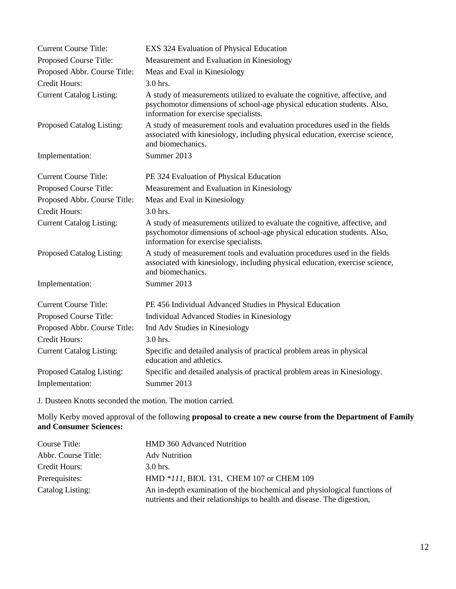| <b>Current Course Title:</b>    | EXS 324 Evaluation of Physical Education                                                                                                                                                       |
|---------------------------------|------------------------------------------------------------------------------------------------------------------------------------------------------------------------------------------------|
| Proposed Course Title:          | Measurement and Evaluation in Kinesiology                                                                                                                                                      |
| Proposed Abbr. Course Title:    | Meas and Eval in Kinesiology                                                                                                                                                                   |
| <b>Credit Hours:</b>            | $3.0$ hrs.                                                                                                                                                                                     |
| <b>Current Catalog Listing:</b> | A study of measurements utilized to evaluate the cognitive, affective, and<br>psychomotor dimensions of school-age physical education students. Also,<br>information for exercise specialists. |
| Proposed Catalog Listing:       | A study of measurement tools and evaluation procedures used in the fields<br>associated with kinesiology, including physical education, exercise science,<br>and biomechanics.                 |
| Implementation:                 | Summer 2013                                                                                                                                                                                    |
| <b>Current Course Title:</b>    | PE 324 Evaluation of Physical Education                                                                                                                                                        |
| Proposed Course Title:          | Measurement and Evaluation in Kinesiology                                                                                                                                                      |
| Proposed Abbr. Course Title:    | Meas and Eval in Kinesiology                                                                                                                                                                   |
| <b>Credit Hours:</b>            | 3.0 hrs.                                                                                                                                                                                       |
| <b>Current Catalog Listing:</b> | A study of measurements utilized to evaluate the cognitive, affective, and<br>psychomotor dimensions of school-age physical education students. Also,<br>information for exercise specialists. |
| Proposed Catalog Listing:       | A study of measurement tools and evaluation procedures used in the fields<br>associated with kinesiology, including physical education, exercise science,<br>and biomechanics.                 |
| Implementation:                 | Summer 2013                                                                                                                                                                                    |
| <b>Current Course Title:</b>    | PE 456 Individual Advanced Studies in Physical Education                                                                                                                                       |
| Proposed Course Title:          | Individual Advanced Studies in Kinesiology                                                                                                                                                     |
| Proposed Abbr. Course Title:    | Ind Adv Studies in Kinesiology                                                                                                                                                                 |
| <b>Credit Hours:</b>            | $3.0$ hrs.                                                                                                                                                                                     |
| <b>Current Catalog Listing:</b> | Specific and detailed analysis of practical problem areas in physical<br>education and athletics.                                                                                              |
| Proposed Catalog Listing:       | Specific and detailed analysis of practical problem areas in Kinesiology.                                                                                                                      |
| Implementation:                 | Summer 2013                                                                                                                                                                                    |

J. Dusteen Knotts seconded the motion. The motion carried.

Molly Kerby moved approval of the following **proposal to create a new course from the Department of Family and Consumer Sciences:**

| Course Title:       | <b>HMD 360 Advanced Nutrition</b>                                                                                                                    |
|---------------------|------------------------------------------------------------------------------------------------------------------------------------------------------|
| Abbr. Course Title: | <b>Adv Nutrition</b>                                                                                                                                 |
| Credit Hours:       | 3.0 hrs.                                                                                                                                             |
| Prerequisites:      | HMD *111, BIOL 131, CHEM 107 or CHEM 109                                                                                                             |
| Catalog Listing:    | An in-depth examination of the biochemical and physiological functions of<br>nutrients and their relationships to health and disease. The digestion, |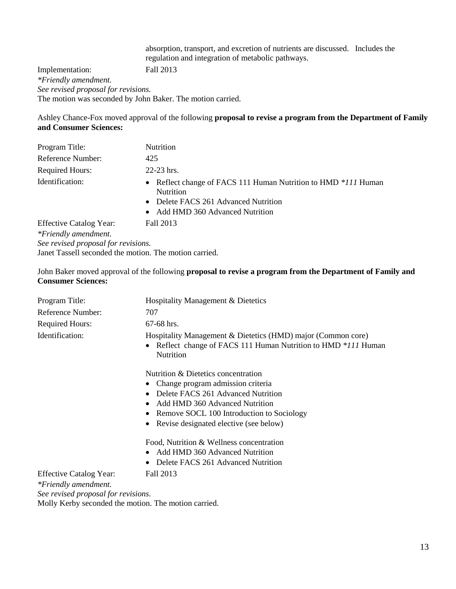absorption, transport, and excretion of nutrients are discussed. Includes the regulation and integration of metabolic pathways. Implementation: Fall 2013 *\*Friendly amendment. See revised proposal for revisions.* The motion was seconded by John Baker. The motion carried.

Ashley Chance-Fox moved approval of the following **proposal to revise a program from the Department of Family and Consumer Sciences:**

| Program Title:                      | Nutrition                                                                                                                                                      |
|-------------------------------------|----------------------------------------------------------------------------------------------------------------------------------------------------------------|
| Reference Number:                   | 425                                                                                                                                                            |
| <b>Required Hours:</b>              | 22-23 hrs.                                                                                                                                                     |
| Identification:                     | • Reflect change of FACS 111 Human Nutrition to HMD *111 Human<br><b>Nutrition</b><br>• Delete FACS 261 Advanced Nutrition<br>• Add HMD 360 Advanced Nutrition |
| <b>Effective Catalog Year:</b>      | Fall 2013                                                                                                                                                      |
| *Friendly amendment.                |                                                                                                                                                                |
| See revised proposal for revisions. |                                                                                                                                                                |

Janet Tassell seconded the motion. The motion carried.

John Baker moved approval of the following **proposal to revise a program from the Department of Family and Consumer Sciences:**

| Program Title:                                                                                | Hospitality Management & Dietetics                                                                                                                            |
|-----------------------------------------------------------------------------------------------|---------------------------------------------------------------------------------------------------------------------------------------------------------------|
| Reference Number:                                                                             | 707                                                                                                                                                           |
| <b>Required Hours:</b>                                                                        | 67-68 hrs.                                                                                                                                                    |
| Identification:                                                                               | Hospitality Management & Dietetics (HMD) major (Common core)<br>Reflect change of FACS 111 Human Nutrition to HMD *111 Human<br>$\bullet$<br><b>Nutrition</b> |
|                                                                                               | Nutrition & Dietetics concentration                                                                                                                           |
|                                                                                               | Change program admission criteria                                                                                                                             |
|                                                                                               | Delete FACS 261 Advanced Nutrition<br>$\bullet$                                                                                                               |
|                                                                                               | Add HMD 360 Advanced Nutrition<br>$\bullet$                                                                                                                   |
|                                                                                               | Remove SOCL 100 Introduction to Sociology                                                                                                                     |
|                                                                                               | Revise designated elective (see below)                                                                                                                        |
|                                                                                               | Food, Nutrition & Wellness concentration                                                                                                                      |
|                                                                                               | Add HMD 360 Advanced Nutrition                                                                                                                                |
|                                                                                               | Delete FACS 261 Advanced Nutrition                                                                                                                            |
| <b>Effective Catalog Year:</b><br>*Friendly amendment.<br>See revised proposal for revisions. | Fall 2013                                                                                                                                                     |

Molly Kerby seconded the motion. The motion carried.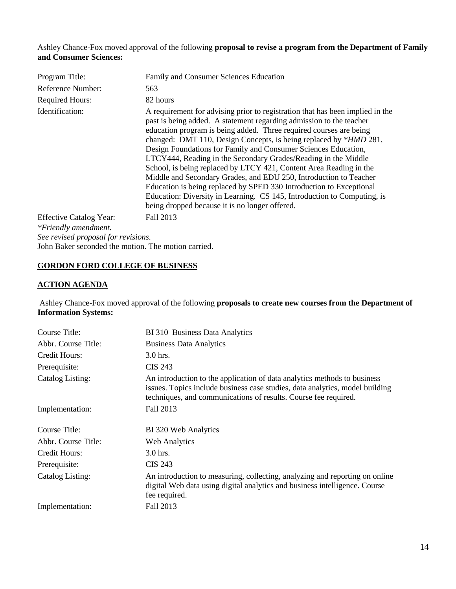Ashley Chance-Fox moved approval of the following **proposal to revise a program from the Department of Family and Consumer Sciences:**

| Program Title:                                      | Family and Consumer Sciences Education                                                                                                                                                                                                                                                                                                                                                                                                                                                                                                                                                                                                                                                                                                                                             |
|-----------------------------------------------------|------------------------------------------------------------------------------------------------------------------------------------------------------------------------------------------------------------------------------------------------------------------------------------------------------------------------------------------------------------------------------------------------------------------------------------------------------------------------------------------------------------------------------------------------------------------------------------------------------------------------------------------------------------------------------------------------------------------------------------------------------------------------------------|
| Reference Number:                                   | 563                                                                                                                                                                                                                                                                                                                                                                                                                                                                                                                                                                                                                                                                                                                                                                                |
| <b>Required Hours:</b>                              | 82 hours                                                                                                                                                                                                                                                                                                                                                                                                                                                                                                                                                                                                                                                                                                                                                                           |
| Identification:                                     | A requirement for advising prior to registration that has been implied in the<br>past is being added. A statement regarding admission to the teacher<br>education program is being added. Three required courses are being<br>changed: DMT 110, Design Concepts, is being replaced by *HMD 281,<br>Design Foundations for Family and Consumer Sciences Education,<br>LTCY444, Reading in the Secondary Grades/Reading in the Middle<br>School, is being replaced by LTCY 421, Content Area Reading in the<br>Middle and Secondary Grades, and EDU 250, Introduction to Teacher<br>Education is being replaced by SPED 330 Introduction to Exceptional<br>Education: Diversity in Learning. CS 145, Introduction to Computing, is<br>being dropped because it is no longer offered. |
| <b>Effective Catalog Year:</b>                      | Fall 2013                                                                                                                                                                                                                                                                                                                                                                                                                                                                                                                                                                                                                                                                                                                                                                          |
| *Friendly amendment.                                |                                                                                                                                                                                                                                                                                                                                                                                                                                                                                                                                                                                                                                                                                                                                                                                    |
| See revised proposal for revisions.                 |                                                                                                                                                                                                                                                                                                                                                                                                                                                                                                                                                                                                                                                                                                                                                                                    |
| John Baker seconded the motion. The motion carried. |                                                                                                                                                                                                                                                                                                                                                                                                                                                                                                                                                                                                                                                                                                                                                                                    |

# **GORDON FORD COLLEGE OF BUSINESS**

## **ACTION AGENDA**

Ashley Chance-Fox moved approval of the following **proposals to create new courses from the Department of Information Systems:**

| Course Title:       | BI 310 Business Data Analytics                                                                                                                                                                                              |
|---------------------|-----------------------------------------------------------------------------------------------------------------------------------------------------------------------------------------------------------------------------|
| Abbr. Course Title: | <b>Business Data Analytics</b>                                                                                                                                                                                              |
| Credit Hours:       | 3.0 hrs.                                                                                                                                                                                                                    |
| Prerequisite:       | <b>CIS 243</b>                                                                                                                                                                                                              |
| Catalog Listing:    | An introduction to the application of data analytics methods to business<br>issues. Topics include business case studies, data analytics, model building<br>techniques, and communications of results. Course fee required. |
| Implementation:     | Fall 2013                                                                                                                                                                                                                   |
| Course Title:       | BI 320 Web Analytics                                                                                                                                                                                                        |
| Abbr. Course Title: | <b>Web Analytics</b>                                                                                                                                                                                                        |
| Credit Hours:       | $3.0$ hrs.                                                                                                                                                                                                                  |
| Prerequisite:       | <b>CIS 243</b>                                                                                                                                                                                                              |
| Catalog Listing:    | An introduction to measuring, collecting, analyzing and reporting on online<br>digital Web data using digital analytics and business intelligence. Course<br>fee required.                                                  |
| Implementation:     | Fall 2013                                                                                                                                                                                                                   |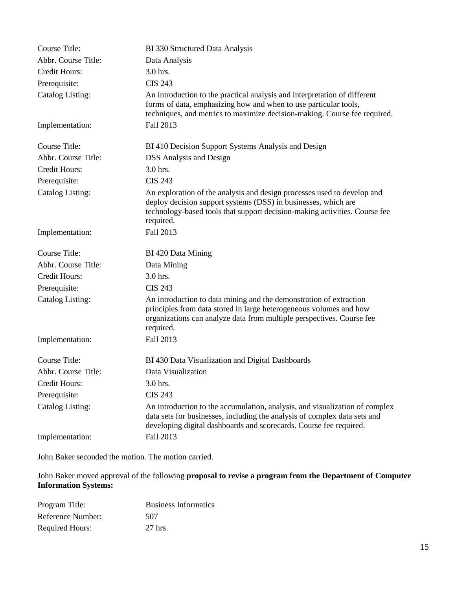| <b>Course Title:</b>    | BI 330 Structured Data Analysis                                                                                                                                                                                                      |
|-------------------------|--------------------------------------------------------------------------------------------------------------------------------------------------------------------------------------------------------------------------------------|
| Abbr. Course Title:     | Data Analysis                                                                                                                                                                                                                        |
| Credit Hours:           | 3.0 hrs.                                                                                                                                                                                                                             |
| Prerequisite:           | <b>CIS 243</b>                                                                                                                                                                                                                       |
| <b>Catalog Listing:</b> | An introduction to the practical analysis and interpretation of different<br>forms of data, emphasizing how and when to use particular tools,<br>techniques, and metrics to maximize decision-making. Course fee required.           |
| Implementation:         | Fall 2013                                                                                                                                                                                                                            |
| Course Title:           | BI 410 Decision Support Systems Analysis and Design                                                                                                                                                                                  |
| Abbr. Course Title:     | <b>DSS</b> Analysis and Design                                                                                                                                                                                                       |
| Credit Hours:           | 3.0 hrs.                                                                                                                                                                                                                             |
| Prerequisite:           | <b>CIS 243</b>                                                                                                                                                                                                                       |
| Catalog Listing:        | An exploration of the analysis and design processes used to develop and<br>deploy decision support systems (DSS) in businesses, which are<br>technology-based tools that support decision-making activities. Course fee<br>required. |
| Implementation:         | Fall 2013                                                                                                                                                                                                                            |
|                         |                                                                                                                                                                                                                                      |
| Course Title:           | BI 420 Data Mining                                                                                                                                                                                                                   |
| Abbr. Course Title:     | Data Mining                                                                                                                                                                                                                          |
| Credit Hours:           | 3.0 hrs.                                                                                                                                                                                                                             |
| Prerequisite:           | <b>CIS 243</b>                                                                                                                                                                                                                       |
| Catalog Listing:        | An introduction to data mining and the demonstration of extraction<br>principles from data stored in large heterogeneous volumes and how<br>organizations can analyze data from multiple perspectives. Course fee<br>required.       |
| Implementation:         | Fall 2013                                                                                                                                                                                                                            |
| Course Title:           | BI 430 Data Visualization and Digital Dashboards                                                                                                                                                                                     |
| Abbr. Course Title:     | Data Visualization                                                                                                                                                                                                                   |
| Credit Hours:           | 3.0 hrs.                                                                                                                                                                                                                             |
| Prerequisite:           | <b>CIS 243</b>                                                                                                                                                                                                                       |
| <b>Catalog Listing:</b> | An introduction to the accumulation, analysis, and visualization of complex<br>data sets for businesses, including the analysis of complex data sets and<br>developing digital dashboards and scorecards. Course fee required.       |

John Baker seconded the motion. The motion carried.

John Baker moved approval of the following **proposal to revise a program from the Department of Computer Information Systems:**

| Program Title:         | <b>Business Informatics</b> |
|------------------------|-----------------------------|
| Reference Number:      | 507                         |
| <b>Required Hours:</b> | 27 hrs.                     |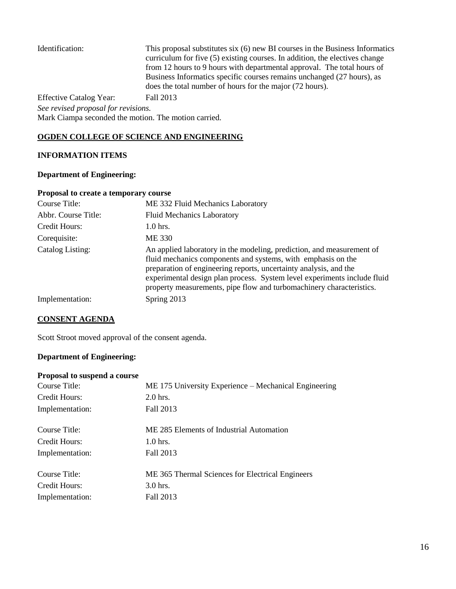| Identification:                                      | This proposal substitutes six (6) new BI courses in the Business Informatics<br>curriculum for five (5) existing courses. In addition, the electives change<br>from 12 hours to 9 hours with departmental approval. The total hours of<br>Business Informatics specific courses remains unchanged (27 hours), as<br>does the total number of hours for the major (72 hours). |
|------------------------------------------------------|------------------------------------------------------------------------------------------------------------------------------------------------------------------------------------------------------------------------------------------------------------------------------------------------------------------------------------------------------------------------------|
| <b>Effective Catalog Year:</b>                       | Fall 2013                                                                                                                                                                                                                                                                                                                                                                    |
| See revised proposal for revisions.                  |                                                                                                                                                                                                                                                                                                                                                                              |
| Mark Ciampa seconded the motion. The motion carried. |                                                                                                                                                                                                                                                                                                                                                                              |

#### **OGDEN COLLEGE OF SCIENCE AND ENGINEERING**

## **INFORMATION ITEMS**

## **Department of Engineering:**

## **Proposal to create a temporary course**

| Course Title:       | ME 332 Fluid Mechanics Laboratory                                                                                                                                                                                                                                                                                                                              |
|---------------------|----------------------------------------------------------------------------------------------------------------------------------------------------------------------------------------------------------------------------------------------------------------------------------------------------------------------------------------------------------------|
| Abbr. Course Title: | <b>Fluid Mechanics Laboratory</b>                                                                                                                                                                                                                                                                                                                              |
| Credit Hours:       | $1.0$ hrs.                                                                                                                                                                                                                                                                                                                                                     |
| Corequisite:        | ME 330                                                                                                                                                                                                                                                                                                                                                         |
| Catalog Listing:    | An applied laboratory in the modeling, prediction, and measurement of<br>fluid mechanics components and systems, with emphasis on the<br>preparation of engineering reports, uncertainty analysis, and the<br>experimental design plan process. System level experiments include fluid<br>property measurements, pipe flow and turbomachinery characteristics. |
| Implementation:     | Spring 2013                                                                                                                                                                                                                                                                                                                                                    |

## **CONSENT AGENDA**

Scott Stroot moved approval of the consent agenda.

# **Department of Engineering:**

#### **Proposal to suspend a course**

| ME 175 University Experience – Mechanical Engineering |
|-------------------------------------------------------|
| $2.0$ hrs.                                            |
| Fall 2013                                             |
| ME 285 Elements of Industrial Automation              |
| $1.0$ hrs.                                            |
| Fall 2013                                             |
| ME 365 Thermal Sciences for Electrical Engineers      |
| $3.0$ hrs.                                            |
| Fall 2013                                             |
|                                                       |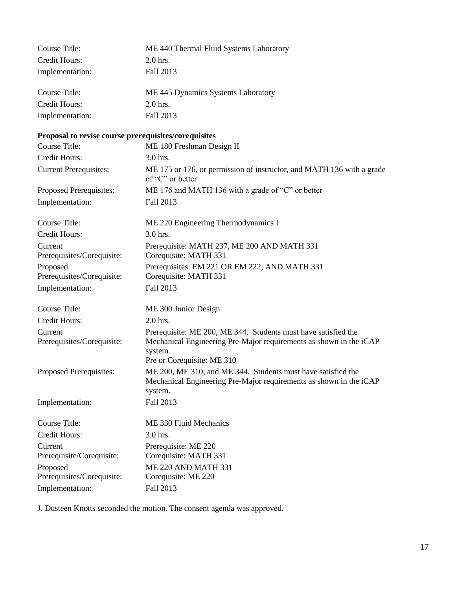| <b>Course Title:</b>                                 | ME 440 Thermal Fluid Systems Laboratory                                                                                                         |
|------------------------------------------------------|-------------------------------------------------------------------------------------------------------------------------------------------------|
| Credit Hours:                                        | 2.0 hrs.                                                                                                                                        |
| Implementation:                                      | Fall 2013                                                                                                                                       |
| <b>Course Title:</b>                                 | ME 445 Dynamics Systems Laboratory                                                                                                              |
| Credit Hours:                                        | 2.0 hrs.                                                                                                                                        |
| Implementation:                                      | Fall 2013                                                                                                                                       |
| Proposal to revise course prerequisites/corequisites |                                                                                                                                                 |
| <b>Course Title:</b>                                 | ME 180 Freshman Design II                                                                                                                       |
| Credit Hours:                                        | 3.0 hrs.                                                                                                                                        |
| <b>Current Prerequisites:</b>                        | ME 175 or 176, or permission of instructor, and MATH 136 with a grade<br>of "C" or better                                                       |
| Proposed Prerequisites:                              | ME 176 and MATH 136 with a grade of "C" or better                                                                                               |
| Implementation:                                      | Fall 2013                                                                                                                                       |
| <b>Course Title:</b>                                 | ME 220 Engineering Thermodynamics I                                                                                                             |
| Credit Hours:                                        | 3.0 hrs.                                                                                                                                        |
| Current                                              | Prerequisite: MATH 237, ME 200 AND MATH 331                                                                                                     |
| Prerequisites/Corequisite:                           | Corequisite: MATH 331                                                                                                                           |
| Proposed<br>Prerequisites/Corequisite:               | Prerequisites: EM 221 OR EM 222, AND MATH 331<br>Corequisite: MATH 331                                                                          |
| Implementation:                                      | Fall 2013                                                                                                                                       |
| <b>Course Title:</b>                                 | ME 300 Junior Design                                                                                                                            |
| Credit Hours:                                        | 2.0 hrs.                                                                                                                                        |
| Current<br>Prerequisites/Corequisite:                | Prerequisite: ME 200, ME 344. Students must have satisfied the<br>Mechanical Engineering Pre-Major requirements as shown in the iCAP<br>system. |
|                                                      | Pre or Corequisite: ME 310                                                                                                                      |
| Proposed Prerequisites:                              | ME 200, ME 310, and ME 344. Students must have satisfied the<br>Mechanical Engineering Pre-Major requirements as shown in the iCAP<br>system.   |
| Implementation:                                      | Fall 2013                                                                                                                                       |
| Course Title:                                        | ME 330 Fluid Mechanics                                                                                                                          |
| Credit Hours:                                        | 3.0 hrs.                                                                                                                                        |
| Current<br>Prerequisite/Corequisite:                 | Prerequisite: ME 220<br>Corequisite: MATH 331                                                                                                   |
| Proposed<br>Prerequisites/Corequisite:               | ME 220 AND MATH 331<br>Corequisite: ME 220                                                                                                      |
| Implementation:                                      | Fall 2013                                                                                                                                       |

J. Dusteen Knotts seconded the motion. The consent agenda was approved.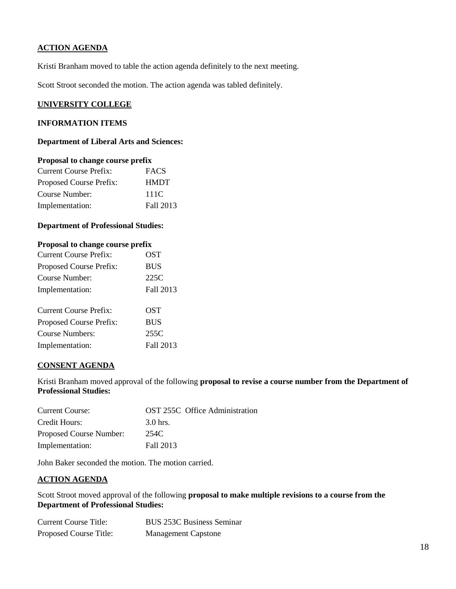## **ACTION AGENDA**

Kristi Branham moved to table the action agenda definitely to the next meeting.

Scott Stroot seconded the motion. The action agenda was tabled definitely.

#### **UNIVERSITY COLLEGE**

## **INFORMATION ITEMS**

#### **Department of Liberal Arts and Sciences:**

#### **Proposal to change course prefix**

| Current Course Prefix:  | <b>FACS</b> |
|-------------------------|-------------|
| Proposed Course Prefix: | <b>HMDT</b> |
| Course Number:          | 111C        |
| Implementation:         | Fall 2013   |

#### **Department of Professional Studies:**

| Proposal to change course prefix    |          |
|-------------------------------------|----------|
| $C$ urrent $C_{\Omega}$ urse Prefix | $\Omega$ |

| <b>Current Course Prefix:</b> | <b>OST</b> |
|-------------------------------|------------|
| Proposed Course Prefix:       | <b>BUS</b> |
| Course Number:                | 225C       |
| Implementation:               | Fall 2013  |
|                               |            |
| <b>Current Course Prefix:</b> | OST        |
| Proposed Course Prefix:       | <b>BUS</b> |
| <b>Course Numbers:</b>        | 255C       |
| Implementation:               | Fall 2013  |

#### **CONSENT AGENDA**

Kristi Branham moved approval of the following **proposal to revise a course number from the Department of Professional Studies:**

| <b>Current Course:</b>  | <b>OST 255C</b> Office Administration |
|-------------------------|---------------------------------------|
| Credit Hours:           | 3.0 hrs.                              |
| Proposed Course Number: | 254C                                  |
| Implementation:         | Fall 2013                             |

John Baker seconded the motion. The motion carried.

#### **ACTION AGENDA**

Scott Stroot moved approval of the following **proposal to make multiple revisions to a course from the Department of Professional Studies:**

| Current Course Title:  | <b>BUS 253C Business Seminar</b> |
|------------------------|----------------------------------|
| Proposed Course Title: | <b>Management Capstone</b>       |